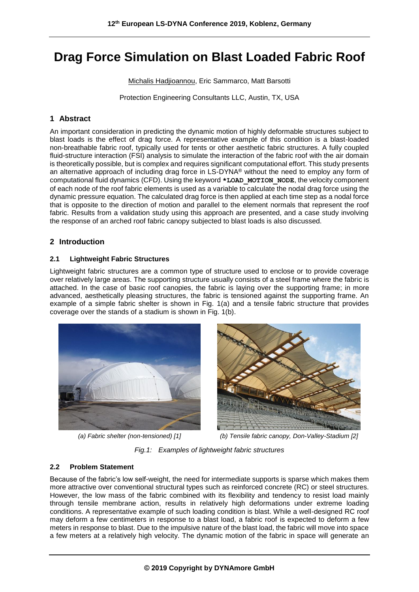# **Drag Force Simulation on Blast Loaded Fabric Roof**

Michalis Hadjioannou, Eric Sammarco, Matt Barsotti

Protection Engineering Consultants LLC, Austin, TX, USA

## **1 Abstract**

An important consideration in predicting the dynamic motion of highly deformable structures subject to blast loads is the effect of drag force. A representative example of this condition is a blast-loaded non-breathable fabric roof, typically used for tents or other aesthetic fabric structures. A fully coupled fluid-structure interaction (FSI) analysis to simulate the interaction of the fabric roof with the air domain is theoretically possible, but is complex and requires significant computational effort. This study presents an alternative approach of including drag force in LS-DYNA® without the need to employ any form of computational fluid dynamics (CFD). Using the keyword **\*LOAD\_MOTION\_NODE**, the velocity component of each node of the roof fabric elements is used as a variable to calculate the nodal drag force using the dynamic pressure equation. The calculated drag force is then applied at each time step as a nodal force that is opposite to the direction of motion and parallel to the element normals that represent the roof fabric. Results from a validation study using this approach are presented, and a case study involving the response of an arched roof fabric canopy subjected to blast loads is also discussed.

# **2 Introduction**

## **2.1 Lightweight Fabric Structures**

Lightweight fabric structures are a common type of structure used to enclose or to provide coverage over relatively large areas. The supporting structure usually consists of a steel frame where the fabric is attached. In the case of basic roof canopies, the fabric is laying over the supporting frame; in more advanced, aesthetically pleasing structures, the fabric is tensioned against the supporting frame. An example of a simple fabric shelter is shown in Fig. 1(a) and a tensile fabric structure that provides coverage over the stands of a stadium is shown in Fig. 1(b).





*(a) Fabric shelter (non-tensioned) [1] (b) Tensile fabric canopy, Don-Valley-Stadium [2]*

*Fig.1: Examples of lightweight fabric structures*

## **2.2 Problem Statement**

Because of the fabric's low self-weight, the need for intermediate supports is sparse which makes them more attractive over conventional structural types such as reinforced concrete (RC) or steel structures. However, the low mass of the fabric combined with its flexibility and tendency to resist load mainly through tensile membrane action, results in relatively high deformations under extreme loading conditions. A representative example of such loading condition is blast. While a well-designed RC roof may deform a few centimeters in response to a blast load, a fabric roof is expected to deform a few meters in response to blast. Due to the impulsive nature of the blast load, the fabric will move into space a few meters at a relatively high velocity. The dynamic motion of the fabric in space will generate an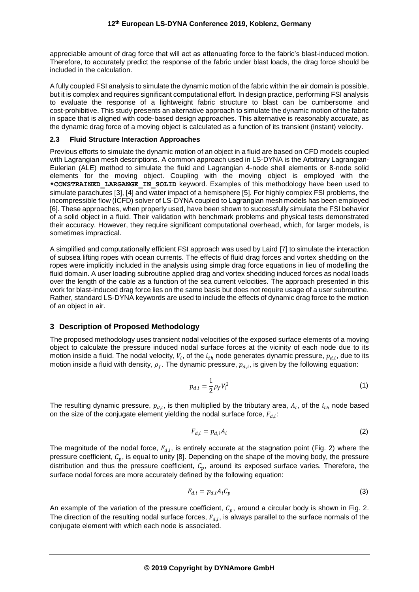appreciable amount of drag force that will act as attenuating force to the fabric's blast-induced motion. Therefore, to accurately predict the response of the fabric under blast loads, the drag force should be included in the calculation.

A fully coupled FSI analysis to simulate the dynamic motion of the fabric within the air domain is possible, but it is complex and requires significant computational effort. In design practice, performing FSI analysis to evaluate the response of a lightweight fabric structure to blast can be cumbersome and cost-prohibitive. This study presents an alternative approach to simulate the dynamic motion of the fabric in space that is aligned with code-based design approaches. This alternative is reasonably accurate, as the dynamic drag force of a moving object is calculated as a function of its transient (instant) velocity.

## **2.3 Fluid Structure Interaction Approaches**

Previous efforts to simulate the dynamic motion of an object in a fluid are based on CFD models coupled with Lagrangian mesh descriptions. A common approach used in LS-DYNA is the Arbitrary Lagrangian-Eulerian (ALE) method to simulate the fluid and Lagrangian 4-node shell elements or 8-node solid elements for the moving object. Coupling with the moving object is employed with the \*CONSTRAINED LARGANGE IN SOLID keyword. Examples of this methodology have been used to simulate parachutes [3], [4] and water impact of a hemisphere [5]. For highly complex FSI problems, the incompressible flow (ICFD) solver of LS-DYNA coupled to Lagrangian mesh models has been employed [6]. These approaches, when properly used, have been shown to successfully simulate the FSI behavior of a solid object in a fluid. Their validation with benchmark problems and physical tests demonstrated their accuracy. However, they require significant computational overhead, which, for larger models, is sometimes impractical.

A simplified and computationally efficient FSI approach was used by Laird [7] to simulate the interaction of subsea lifting ropes with ocean currents. The effects of fluid drag forces and vortex shedding on the ropes were implicitly included in the analysis using simple drag force equations in lieu of modelling the fluid domain. A user loading subroutine applied drag and vortex shedding induced forces as nodal loads over the length of the cable as a function of the sea current velocities. The approach presented in this work for blast-induced drag force lies on the same basis but does not require usage of a user subroutine. Rather, standard LS-DYNA keywords are used to include the effects of dynamic drag force to the motion of an object in air.

## **3 Description of Proposed Methodology**

The proposed methodology uses transient nodal velocities of the exposed surface elements of a moving object to calculate the pressure induced nodal surface forces at the vicinity of each node due to its motion inside a fluid. The nodal velocity,  $V_i$ , of the  $i_{th}$  node generates dynamic pressure,  $p_{d,i}$ , due to its motion inside a fluid with density,  $\rho_f.$  The dynamic pressure,  $p_{d,i}$ , is given by the following equation:

$$
p_{d,i} = \frac{1}{2} \rho_f V_i^2
$$
 (1)

The resulting dynamic pressure,  $p_{d,i}$ , is then multiplied by the tributary area,  $A_i$ , of the  $i_{th}$  node based on the size of the conjugate element yielding the nodal surface force,  $F_{d,i}$ :

$$
F_{d,i} = p_{d,i} A_i \tag{2}
$$

The magnitude of the nodal force,  $F_{d,i}$ , is entirely accurate at the stagnation point (Fig. 2) where the pressure coefficient,  $C_p$ , is equal to unity [8]. Depending on the shape of the moving body, the pressure distribution and thus the pressure coefficient,  $C_p$ , around its exposed surface varies. Therefore, the surface nodal forces are more accurately defined by the following equation:

$$
F_{d,i} = p_{d,i} A_i C_p \tag{3}
$$

An example of the variation of the pressure coefficient,  $C_p$ , around a circular body is shown in Fig. 2. The direction of the resulting nodal surface forces,  $F_{d,i}$ , is always parallel to the surface normals of the conjugate element with which each node is associated.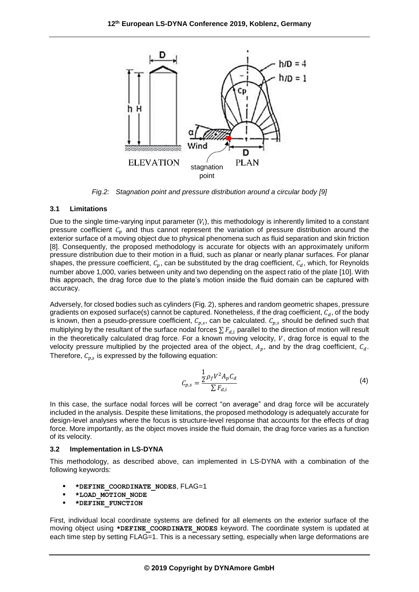

*Fig.2: Stagnation point and pressure distribution around a circular body [9]*

#### **3.1 Limitations**

Due to the single time-varying input parameter ( $V_i$ ), this methodology is inherently limited to a constant pressure coefficient  $C_p$  and thus cannot represent the variation of pressure distribution around the exterior surface of a moving object due to physical phenomena such as fluid separation and skin friction [8]. Consequently, the proposed methodology is accurate for objects with an approximately uniform pressure distribution due to their motion in a fluid, such as planar or nearly planar surfaces. For planar shapes, the pressure coefficient,  $C_p$ , can be substituted by the drag coefficient,  $C_d$ , which, for Reynolds number above 1,000, varies between unity and two depending on the aspect ratio of the plate [10]. With this approach, the drag force due to the plate's motion inside the fluid domain can be captured with accuracy.

Adversely, for closed bodies such as cylinders (Fig. 2), spheres and random geometric shapes, pressure gradients on exposed surface(s) cannot be captured. Nonetheless, if the drag coefficient,  $C_d$ , of the body is known, then a pseudo-pressure coefficient,  $\mathcal{C}_{p,s}$ , can be calculated.  $\mathcal{C}_{p,s}$  should be defined such that multiplying by the resultant of the surface nodal forces  $\sum F_{d,i}$  parallel to the direction of motion will result in the theoretically calculated drag force. For a known moving velocity,  $V$ , drag force is equal to the velocity pressure multiplied by the projected area of the object,  $A_p$ , and by the drag coefficient,  $C_d$ . Therefore,  $\mathcal{C}_{p,s}$  is expressed by the following equation:

$$
C_{p,s} = \frac{\frac{1}{2}\rho_f V^2 A_p C_d}{\sum F_{d,i}}\tag{4}
$$

In this case, the surface nodal forces will be correct "on average" and drag force will be accurately included in the analysis. Despite these limitations, the proposed methodology is adequately accurate for design-level analyses where the focus is structure-level response that accounts for the effects of drag force. More importantly, as the object moves inside the fluid domain, the drag force varies as a function of its velocity.

#### **3.2 Implementation in LS-DYNA**

This methodology, as described above, can implemented in LS-DYNA with a combination of the following keywords:

- **\*DEFINE\_COORDINATE\_NODES**, FLAG=1
- **\*LOAD\_MOTION\_NODE**
- **\*DEFINE\_FUNCTION**

First, individual local coordinate systems are defined for all elements on the exterior surface of the moving object using **\*DEFINE\_COORDINATE\_NODES** keyword. The coordinate system is updated at each time step by setting FLAG=1. This is a necessary setting, especially when large deformations are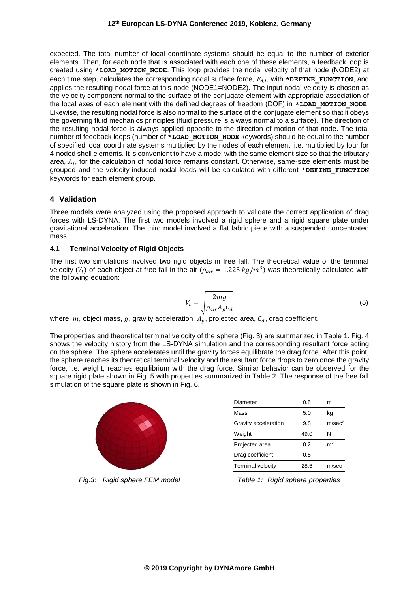expected. The total number of local coordinate systems should be equal to the number of exterior elements. Then, for each node that is associated with each one of these elements, a feedback loop is created using **\*LOAD\_MOTION\_NODE**. This loop provides the nodal velocity of that node (NODE2) at each time step, calculates the corresponding nodal surface force,  $F_{d,i}$ , with  $\star$ DEFINE\_FUNCTION, and applies the resulting nodal force at this node (NODE1=NODE2). The input nodal velocity is chosen as the velocity component normal to the surface of the conjugate element with appropriate association of the local axes of each element with the defined degrees of freedom (DOF) in **\*LOAD\_MOTION\_NODE**. Likewise, the resulting nodal force is also normal to the surface of the conjugate element so that it obeys the governing fluid mechanics principles (fluid pressure is always normal to a surface). The direction of the resulting nodal force is always applied opposite to the direction of motion of that node. The total number of feedback loops (number of **\*LOAD\_MOTION\_NODE** keywords) should be equal to the number of specified local coordinate systems multiplied by the nodes of each element, i.e. multiplied by four for 4-noded shell elements. It is convenient to have a model with the same element size so that the tributary area,  $A_i$ , for the calculation of nodal force remains constant. Otherwise, same-size elements must be grouped and the velocity-induced nodal loads will be calculated with different **\*DEFINE\_FUNCTION** keywords for each element group.

## **4 Validation**

Three models were analyzed using the proposed approach to validate the correct application of drag forces with LS-DYNA. The first two models involved a rigid sphere and a rigid square plate under gravitational acceleration. The third model involved a flat fabric piece with a suspended concentrated mass.

## **4.1 Terminal Velocity of Rigid Objects**

The first two simulations involved two rigid objects in free fall. The theoretical value of the terminal velocity ( $V_t$ ) of each object at free fall in the air ( $\rho_{air} = 1.225$   $kg/m^3$ ) was theoretically calculated with the following equation:

$$
V_t = \sqrt{\frac{2mg}{\rho_{air}A_pC_d}}
$$
\n(5)

where, m, object mass, g, gravity acceleration,  $A_p$ , projected area,  $C_d$ , drag coefficient.

The properties and theoretical terminal velocity of the sphere (Fig. 3) are summarized in Table 1. Fig. 4 shows the velocity history from the LS-DYNA simulation and the corresponding resultant force acting on the sphere. The sphere accelerates until the gravity forces equilibrate the drag force. After this point, the sphere reaches its theoretical terminal velocity and the resultant force drops to zero once the gravity force, i.e. weight, reaches equilibrium with the drag force. Similar behavior can be observed for the square rigid plate shown in Fig. 5 with properties summarized in Table 2. The response of the free fall simulation of the square plate is shown in Fig. 6.



*Fig.3: Rigid sphere FEM model Table 1: Rigid sphere properties*

| Diameter                 | 0.5  | m                  |
|--------------------------|------|--------------------|
| Mass                     | 5.0  | kg                 |
| Gravity acceleration     | 9.8  | m/sec <sup>2</sup> |
| Weight                   | 49.0 | N                  |
| Projected area           | 0.2  | m <sup>2</sup>     |
| Drag coefficient         | 0.5  |                    |
| <b>Terminal velocity</b> | 28.6 | m/sec              |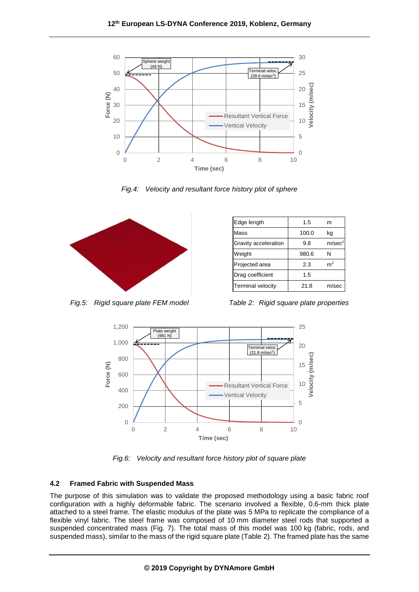

*Fig.4: Velocity and resultant force history plot of sphere*



| Edge length              | 1.5   | m                  |
|--------------------------|-------|--------------------|
| Mass                     | 100.0 | kg                 |
| Gravity acceleration     | 9.8   | m/sec <sup>2</sup> |
| Weight                   | 980.6 | N                  |
| Projected area           | 2.3   | m <sup>2</sup>     |
| Drag coefficient         | 1.5   |                    |
| <b>Terminal velocity</b> | 21.8  | m/sec              |

*Fig.5: Rigid square plate FEM model Table 2: Rigid square plate properties*



*Fig.6: Velocity and resultant force history plot of square plate*

## **4.2 Framed Fabric with Suspended Mass**

The purpose of this simulation was to validate the proposed methodology using a basic fabric roof configuration with a highly deformable fabric. The scenario involved a flexible, 0.6-mm thick plate attached to a steel frame. The elastic modulus of the plate was 5 MPa to replicate the compliance of a flexible vinyl fabric. The steel frame was composed of 10 mm diameter steel rods that supported a suspended concentrated mass (Fig. 7). The total mass of this model was 100 kg (fabric, rods, and suspended mass), similar to the mass of the rigid square plate (Table 2). The framed plate has the same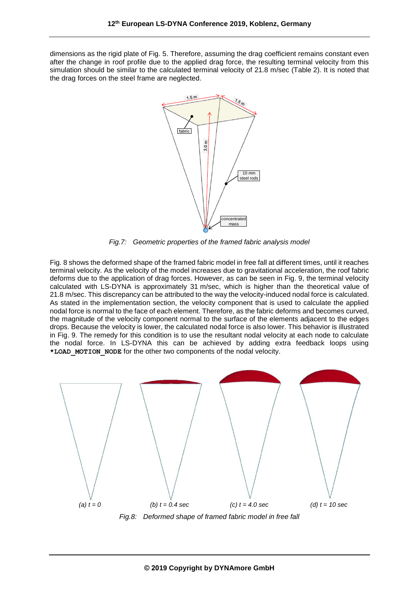dimensions as the rigid plate of Fig. 5. Therefore, assuming the drag coefficient remains constant even after the change in roof profile due to the applied drag force, the resulting terminal velocity from this simulation should be similar to the calculated terminal velocity of 21.8 m/sec (Table 2). It is noted that the drag forces on the steel frame are neglected.



*Fig.7: Geometric properties of the framed fabric analysis model*

Fig. 8 shows the deformed shape of the framed fabric model in free fall at different times, until it reaches terminal velocity. As the velocity of the model increases due to gravitational acceleration, the roof fabric deforms due to the application of drag forces. However, as can be seen in Fig. 9, the terminal velocity calculated with LS-DYNA is approximately 31 m/sec, which is higher than the theoretical value of 21.8 m/sec. This discrepancy can be attributed to the way the velocity-induced nodal force is calculated. As stated in the implementation section, the velocity component that is used to calculate the applied nodal force is normal to the face of each element. Therefore, as the fabric deforms and becomes curved, the magnitude of the velocity component normal to the surface of the elements adjacent to the edges drops. Because the velocity is lower, the calculated nodal force is also lower. This behavior is illustrated in Fig. 9. The remedy for this condition is to use the resultant nodal velocity at each node to calculate the nodal force. In LS-DYNA this can be achieved by adding extra feedback loops using **\*LOAD\_MOTION\_NODE** for the other two components of the nodal velocity.

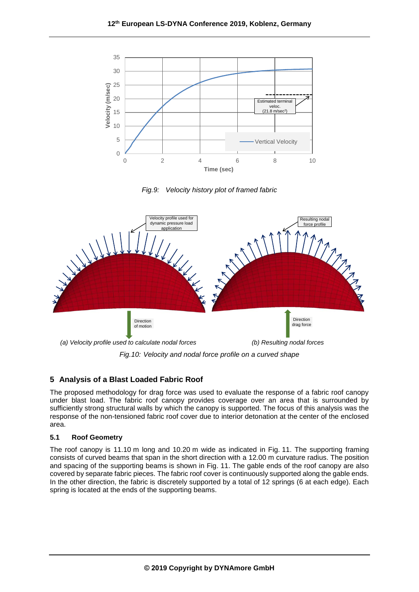





*Fig.10: Velocity and nodal force profile on a curved shape*

# **5 Analysis of a Blast Loaded Fabric Roof**

The proposed methodology for drag force was used to evaluate the response of a fabric roof canopy under blast load. The fabric roof canopy provides coverage over an area that is surrounded by sufficiently strong structural walls by which the canopy is supported. The focus of this analysis was the response of the non-tensioned fabric roof cover due to interior detonation at the center of the enclosed area.

## **5.1 Roof Geometry**

The roof canopy is 11.10 m long and 10.20 m wide as indicated in Fig. 11. The supporting framing consists of curved beams that span in the short direction with a 12.00 m curvature radius. The position and spacing of the supporting beams is shown in Fig. 11. The gable ends of the roof canopy are also covered by separate fabric pieces. The fabric roof cover is continuously supported along the gable ends. In the other direction, the fabric is discretely supported by a total of 12 springs (6 at each edge). Each spring is located at the ends of the supporting beams.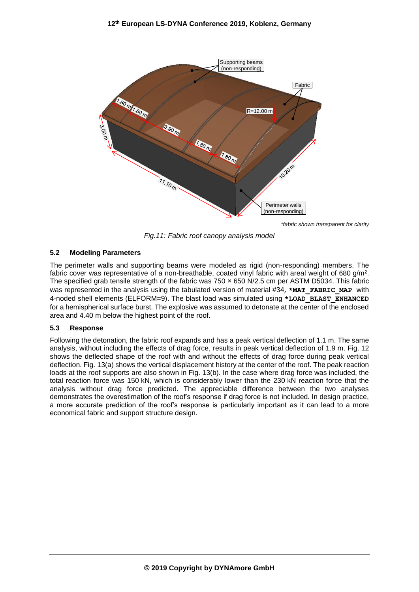

*\*fabric shown transparent for clarity*

*Fig.11: Fabric roof canopy analysis model*

## **5.2 Modeling Parameters**

The perimeter walls and supporting beams were modeled as rigid (non-responding) members. The fabric cover was representative of a non-breathable, coated vinyl fabric with areal weight of 680 g/m<sup>2</sup>. The specified grab tensile strength of the fabric was 750 × 650 N/2.5 cm per ASTM D5034. This fabric was represented in the analysis using the tabulated version of material #34, **\*MAT\_FABRIC\_MAP** with 4-noded shell elements (ELFORM=9). The blast load was simulated using **\*LOAD\_BLAST\_ENHANCED** for a hemispherical surface burst. The explosive was assumed to detonate at the center of the enclosed area and 4.40 m below the highest point of the roof.

## **5.3 Response**

Following the detonation, the fabric roof expands and has a peak vertical deflection of 1.1 m. The same analysis, without including the effects of drag force, results in peak vertical deflection of 1.9 m. Fig. 12 shows the deflected shape of the roof with and without the effects of drag force during peak vertical deflection. Fig. 13(a) shows the vertical displacement history at the center of the roof. The peak reaction loads at the roof supports are also shown in Fig. 13(b). In the case where drag force was included, the total reaction force was 150 kN, which is considerably lower than the 230 kN reaction force that the analysis without drag force predicted. The appreciable difference between the two analyses demonstrates the overestimation of the roof's response if drag force is not included. In design practice, a more accurate prediction of the roof's response is particularly important as it can lead to a more economical fabric and support structure design.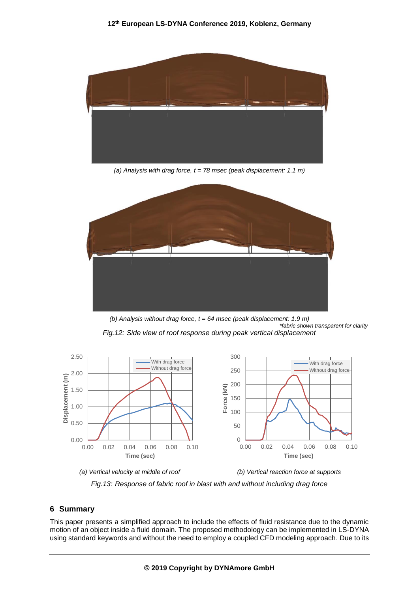

*(a) Analysis with drag force, t = 78 msec (peak displacement: 1.1 m)*



*(b) Analysis without drag force, t = 64 msec (peak displacement: 1.9 m) \*fabric shown transparent for clarity Fig.12: Side view of roof response during peak vertical displacement*



*Fig.13: Response of fabric roof in blast with and without including drag force*

## **6 Summary**

This paper presents a simplified approach to include the effects of fluid resistance due to the dynamic motion of an object inside a fluid domain. The proposed methodology can be implemented in LS-DYNA using standard keywords and without the need to employ a coupled CFD modeling approach. Due to its